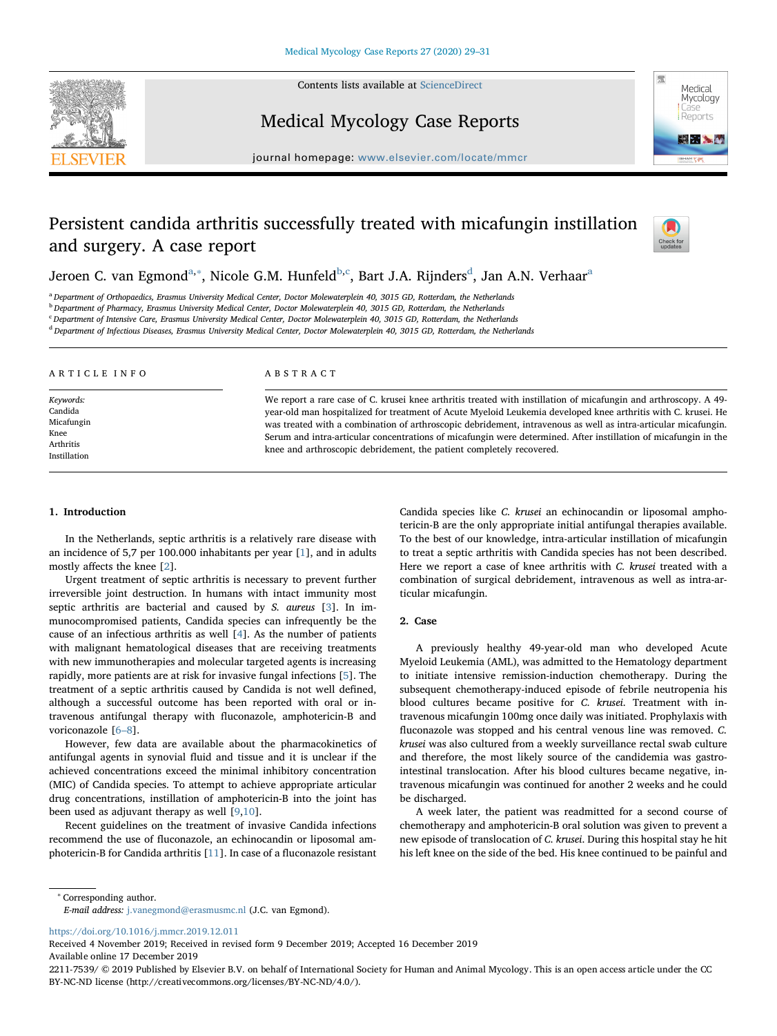Contents lists available at [ScienceDirect](http://www.sciencedirect.com/science/journal/22117539)





Medical Mycology Case Reports

journal homepage: [www.elsevier.com/locate/mmcr](https://www.elsevier.com/locate/mmcr)

# Persistent candida arthritis successfully treated with micafungin instillation and surgery. A case report



Jeroen C. v[a](#page-0-0)n Egmon[d](#page-0-4) $^{\rm a, *},$  Ni[c](#page-0-3)ole G.M. Hunfeld $^{\rm b, c}$  $^{\rm b, c}$  $^{\rm b, c}$ , Bart J.A. Rijnders $^{\rm d}$ , Jan A.N. Verhaar $^{\rm a}$ 

<span id="page-0-0"></span><sup>a</sup> Department of Orthopaedics, Erasmus University Medical Center, Doctor Molewaterplein 40, 3015 GD, Rotterdam, the Netherlands

<span id="page-0-2"></span><sup>b</sup> Department of Pharmacy, Erasmus University Medical Center, Doctor Molewaterplein 40, 3015 GD, Rotterdam, the Netherlands

<span id="page-0-3"></span><sup>c</sup> Department of Intensive Care, Erasmus University Medical Center, Doctor Molewaterplein 40, 3015 GD, Rotterdam, the Netherlands

<span id="page-0-4"></span><sup>d</sup> Department of Infectious Diseases, Erasmus University Medical Center, Doctor Molewaterplein 40, 3015 GD, Rotterdam, the Netherlands

| ARTICLE INFO                                                            | ABSTRACT                                                                                                                                                                                                                                                                                                                                                                                                                                                                                                                                       |  |  |
|-------------------------------------------------------------------------|------------------------------------------------------------------------------------------------------------------------------------------------------------------------------------------------------------------------------------------------------------------------------------------------------------------------------------------------------------------------------------------------------------------------------------------------------------------------------------------------------------------------------------------------|--|--|
| Keywords:<br>Candida<br>Micafungin<br>Knee<br>Arthritis<br>Instillation | We report a rare case of C. krusei knee arthritis treated with instillation of micafungin and arthroscopy. A 49-<br>year-old man hospitalized for treatment of Acute Myeloid Leukemia developed knee arthritis with C. krusei. He<br>was treated with a combination of arthroscopic debridement, intravenous as well as intra-articular micafungin.<br>Serum and intra-articular concentrations of micafungin were determined. After instillation of micafungin in the<br>knee and arthroscopic debridement, the patient completely recovered. |  |  |

## 1. Introduction

In the Netherlands, septic arthritis is a relatively rare disease with an incidence of 5,7 per 100.000 inhabitants per year [\[1](#page-2-0)], and in adults mostly affects the knee [[2](#page-2-1)].

Urgent treatment of septic arthritis is necessary to prevent further irreversible joint destruction. In humans with intact immunity most septic arthritis are bacterial and caused by S. aureus [[3](#page-2-2)]. In immunocompromised patients, Candida species can infrequently be the cause of an infectious arthritis as well [[4](#page-2-3)]. As the number of patients with malignant hematological diseases that are receiving treatments with new immunotherapies and molecular targeted agents is increasing rapidly, more patients are at risk for invasive fungal infections [\[5\]](#page-2-4). The treatment of a septic arthritis caused by Candida is not well defined, although a successful outcome has been reported with oral or intravenous antifungal therapy with fluconazole, amphotericin-B and voriconazole [6–[8\]](#page-2-5).

However, few data are available about the pharmacokinetics of antifungal agents in synovial fluid and tissue and it is unclear if the achieved concentrations exceed the minimal inhibitory concentration (MIC) of Candida species. To attempt to achieve appropriate articular drug concentrations, instillation of amphotericin-B into the joint has been used as adjuvant therapy as well [[9](#page-2-6)[,10](#page-2-7)].

Recent guidelines on the treatment of invasive Candida infections recommend the use of fluconazole, an echinocandin or liposomal amphotericin-B for Candida arthritis [\[11](#page-2-8)]. In case of a fluconazole resistant Candida species like C. krusei an echinocandin or liposomal amphotericin-B are the only appropriate initial antifungal therapies available. To the best of our knowledge, intra-articular instillation of micafungin to treat a septic arthritis with Candida species has not been described. Here we report a case of knee arthritis with C. krusei treated with a combination of surgical debridement, intravenous as well as intra-articular micafungin.

### 2. Case

A previously healthy 49-year-old man who developed Acute Myeloid Leukemia (AML), was admitted to the Hematology department to initiate intensive remission-induction chemotherapy. During the subsequent chemotherapy-induced episode of febrile neutropenia his blood cultures became positive for C. krusei. Treatment with intravenous micafungin 100mg once daily was initiated. Prophylaxis with fluconazole was stopped and his central venous line was removed. C. krusei was also cultured from a weekly surveillance rectal swab culture and therefore, the most likely source of the candidemia was gastrointestinal translocation. After his blood cultures became negative, intravenous micafungin was continued for another 2 weeks and he could be discharged.

A week later, the patient was readmitted for a second course of chemotherapy and amphotericin-B oral solution was given to prevent a new episode of translocation of C. krusei. During this hospital stay he hit his left knee on the side of the bed. His knee continued to be painful and

<span id="page-0-1"></span><sup>∗</sup> Corresponding author.

<https://doi.org/10.1016/j.mmcr.2019.12.011>

Received 4 November 2019; Received in revised form 9 December 2019; Accepted 16 December 2019 Available online 17 December 2019

2211-7539/ © 2019 Published by Elsevier B.V. on behalf of International Society for Human and Animal Mycology. This is an open access article under the CC BY-NC-ND license (http://creativecommons.org/licenses/BY-NC-ND/4.0/).

E-mail address: [j.vanegmond@erasmusmc.nl](mailto:j.vanegmond@erasmusmc.nl) (J.C. van Egmond).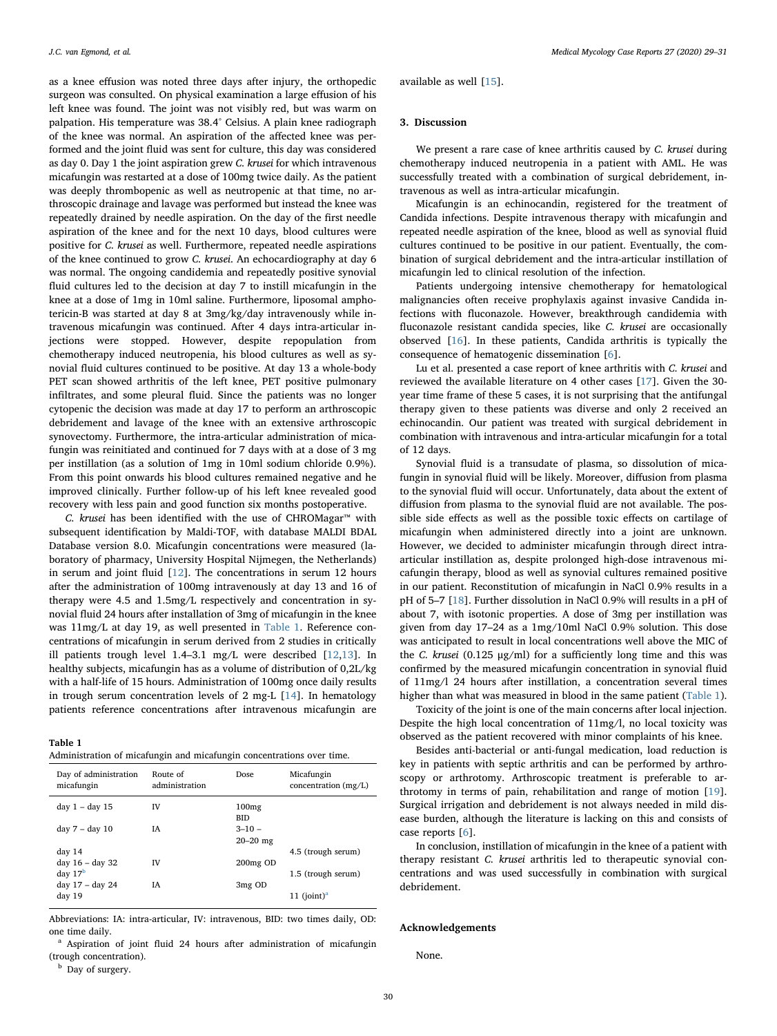available as well [[15\]](#page-2-12).

## 3. Discussion

We present a rare case of knee arthritis caused by C. krusei during chemotherapy induced neutropenia in a patient with AML. He was successfully treated with a combination of surgical debridement, intravenous as well as intra-articular micafungin.

Micafungin is an echinocandin, registered for the treatment of Candida infections. Despite intravenous therapy with micafungin and repeated needle aspiration of the knee, blood as well as synovial fluid cultures continued to be positive in our patient. Eventually, the combination of surgical debridement and the intra-articular instillation of micafungin led to clinical resolution of the infection.

Patients undergoing intensive chemotherapy for hematological malignancies often receive prophylaxis against invasive Candida infections with fluconazole. However, breakthrough candidemia with fluconazole resistant candida species, like C. krusei are occasionally observed [\[16](#page-2-13)]. In these patients, Candida arthritis is typically the consequence of hematogenic dissemination [\[6\]](#page-2-5).

Lu et al. presented a case report of knee arthritis with C. krusei and reviewed the available literature on 4 other cases [\[17](#page-2-14)]. Given the 30 year time frame of these 5 cases, it is not surprising that the antifungal therapy given to these patients was diverse and only 2 received an echinocandin. Our patient was treated with surgical debridement in combination with intravenous and intra-articular micafungin for a total of 12 days.

Synovial fluid is a transudate of plasma, so dissolution of micafungin in synovial fluid will be likely. Moreover, diffusion from plasma to the synovial fluid will occur. Unfortunately, data about the extent of diffusion from plasma to the synovial fluid are not available. The possible side effects as well as the possible toxic effects on cartilage of micafungin when administered directly into a joint are unknown. However, we decided to administer micafungin through direct intraarticular instillation as, despite prolonged high-dose intravenous micafungin therapy, blood as well as synovial cultures remained positive in our patient. Reconstitution of micafungin in NaCl 0.9% results in a pH of 5–7 [[18\]](#page-2-15). Further dissolution in NaCl 0.9% will results in a pH of about 7, with isotonic properties. A dose of 3mg per instillation was given from day 17–24 as a 1mg/10ml NaCl 0.9% solution. This dose was anticipated to result in local concentrations well above the MIC of the C. krusei (0.125 μg/ml) for a sufficiently long time and this was confirmed by the measured micafungin concentration in synovial fluid of 11mg/l 24 hours after instillation, a concentration several times higher than what was measured in blood in the same patient [\(Table 1](#page-1-0)).

Toxicity of the joint is one of the main concerns after local injection. Despite the high local concentration of 11mg/l, no local toxicity was observed as the patient recovered with minor complaints of his knee.

Besides anti-bacterial or anti-fungal medication, load reduction is key in patients with septic arthritis and can be performed by arthroscopy or arthrotomy. Arthroscopic treatment is preferable to arthrotomy in terms of pain, rehabilitation and range of motion [\[19](#page-2-16)]. Surgical irrigation and debridement is not always needed in mild disease burden, although the literature is lacking on this and consists of case reports [[6](#page-2-5)].

In conclusion, instillation of micafungin in the knee of a patient with therapy resistant C. krusei arthritis led to therapeutic synovial concentrations and was used successfully in combination with surgical debridement.

#### Acknowledgements

None.

as a knee effusion was noted three days after injury, the orthopedic surgeon was consulted. On physical examination a large effusion of his left knee was found. The joint was not visibly red, but was warm on palpation. His temperature was 38.4° Celsius. A plain knee radiograph of the knee was normal. An aspiration of the affected knee was performed and the joint fluid was sent for culture, this day was considered as day 0. Day 1 the joint aspiration grew C. krusei for which intravenous micafungin was restarted at a dose of 100mg twice daily. As the patient was deeply thrombopenic as well as neutropenic at that time, no arthroscopic drainage and lavage was performed but instead the knee was repeatedly drained by needle aspiration. On the day of the first needle aspiration of the knee and for the next 10 days, blood cultures were positive for C. krusei as well. Furthermore, repeated needle aspirations of the knee continued to grow C. krusei. An echocardiography at day 6 was normal. The ongoing candidemia and repeatedly positive synovial fluid cultures led to the decision at day 7 to instill micafungin in the knee at a dose of 1mg in 10ml saline. Furthermore, liposomal amphotericin-B was started at day 8 at 3mg/kg/day intravenously while intravenous micafungin was continued. After 4 days intra-articular injections were stopped. However, despite repopulation from chemotherapy induced neutropenia, his blood cultures as well as synovial fluid cultures continued to be positive. At day 13 a whole-body PET scan showed arthritis of the left knee, PET positive pulmonary infiltrates, and some pleural fluid. Since the patients was no longer cytopenic the decision was made at day 17 to perform an arthroscopic debridement and lavage of the knee with an extensive arthroscopic synovectomy. Furthermore, the intra-articular administration of micafungin was reinitiated and continued for 7 days with at a dose of 3 mg per instillation (as a solution of 1mg in 10ml sodium chloride 0.9%). From this point onwards his blood cultures remained negative and he improved clinically. Further follow-up of his left knee revealed good recovery with less pain and good function six months postoperative.

C. krusei has been identified with the use of CHROMagar™ with subsequent identification by Maldi-TOF, with database MALDI BDAL Database version 8.0. Micafungin concentrations were measured (laboratory of pharmacy, University Hospital Nijmegen, the Netherlands) in serum and joint fluid [[12\]](#page-2-9). The concentrations in serum 12 hours after the administration of 100mg intravenously at day 13 and 16 of therapy were 4.5 and 1.5mg/L respectively and concentration in synovial fluid 24 hours after installation of 3mg of micafungin in the knee was 11mg/L at day 19, as well presented in [Table 1](#page-1-0). Reference concentrations of micafungin in serum derived from 2 studies in critically ill patients trough level 1.4–3.1 mg/L were described [[12](#page-2-9)[,13](#page-2-10)]. In healthy subjects, micafungin has as a volume of distribution of 0,2L/kg with a half-life of 15 hours. Administration of 100mg once daily results in trough serum concentration levels of 2 mg-L [\[14](#page-2-11)]. In hematology patients reference concentrations after intravenous micafungin are

#### <span id="page-1-0"></span>Table 1

Administration of micafungin and micafungin concentrations over time.

| Day of administration<br>micafungin | Route of<br>administration | Dose.                      | Micafungin<br>concentration $(mg/L)$ |
|-------------------------------------|----------------------------|----------------------------|--------------------------------------|
| day $1 - day 15$                    | IV                         | 100mg<br><b>BID</b>        |                                      |
| $day 7 - day 10$                    | ĪΑ                         | $3 - 10 -$<br>$20 - 20$ mg |                                      |
| day 14                              |                            |                            | 4.5 (trough serum)                   |
| day 16 - day 32                     | <b>IV</b>                  | 200 <sub>mg</sub> OD       |                                      |
| day $17b$                           |                            |                            | 1.5 (trough serum)                   |
| day 17 - day 24<br>day 19           | ĪΑ                         | 3mg OD                     | 11 $(ioint)a$                        |

Abbreviations: IA: intra-articular, IV: intravenous, BID: two times daily, OD: one time daily.

<span id="page-1-2"></span><sup>a</sup> Aspiration of joint fluid 24 hours after administration of micafungin (trough concentration).

<span id="page-1-1"></span><sup>b</sup> Day of surgery.